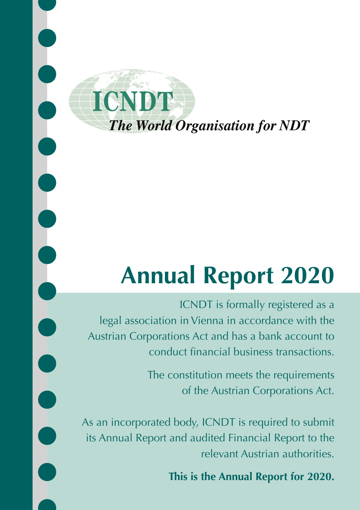

 $\begin{bmatrix} 0 \\ 0 \\ 0 \end{bmatrix}$ 

 $\overline{\phantom{a}}$ 

# **Annual Report 2020**

ICNDT is formally registered as a legal association in Vienna in accordance with the Austrian Corporations Act and has a bank account to conduct financial business transactions.

> The constitution meets the requirements of the Austrian Corporations Act.

As an incorporated body, ICNDT is required to submit its Annual Report and audited Financial Report to the relevant Austrian authorities.

**This is the Annual Report for 2020.**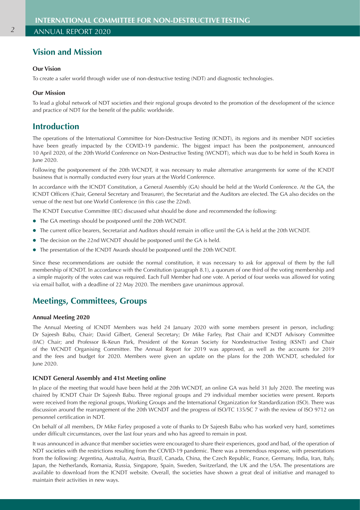## **Vision and Mission**

## **Our Vision**

To create a safer world through wider use of non-destructive testing (NDT) and diagnostic technologies.

## **Our Mission**

To lead a global network of NDT societies and their regional groups devoted to the promotion of the development of the science and practice of NDT for the benefit of the public worldwide.

## **Introduction**

The operations of the International Committee for Non-Destructive Testing (ICNDT), its regions and its member NDT societies have been greatly impacted by the COVID-19 pandemic. The biggest impact has been the postponement, announced 10 April 2020, of the 20th World Conference on Non-Destructive Testing (WCNDT), which was due to be held in South Korea in June 2020.

Following the postponement of the 20th WCNDT, it was necessary to make alternative arrangements for some of the ICNDT business that is normally conducted every four years at the World Conference.

In accordance with the ICNDT Constitution, a General Assembly (GA) should be held at the World Conference. At the GA, the ICNDT Officers (Chair, General Secretary and Treasurer), the Secretariat and the Auditors are elected. The GA also decides on the venue of the next but one World Conference (in this case the 22nd).

The ICNDT Executive Committee (IEC) discussed what should be done and recommended the following:

- The GA meetings should be postponed until the 20th WCNDT.
- l The current office bearers, Secretariat and Auditors should remain in office until the GA is held at the 20th WCNDT.
- The decision on the 22nd WCNDT should be postponed until the GA is held.
- The presentation of the ICNDT Awards should be postponed until the 20th WCNDT.

Since these recommendations are outside the normal constitution, it was necessary to ask for approval of them by the full membership of ICNDT. In accordance with the Constitution (paragraph 8.1), a quorum of one third of the voting membership and a simple majority of the votes cast was required. Each Full Member had one vote. A period of four weeks was allowed for voting via email ballot, with a deadline of 22 May 2020. The members gave unanimous approval.

## **Meetings, Committees, Groups**

#### **Annual Meeting 2020**

The Annual Meeting of ICNDT Members was held 24 January 2020 with some members present in person, including: Dr Sajeesh Babu, Chair; David Gilbert, General Secretary; Dr Mike Farley, Past Chair and ICNDT Advisory Committee (IAC) Chair; and Professor Ik-Keun Park, President of the Korean Society for Nondestructive Testing (KSNT) and Chair of the WCNDT Organising Committee. The Annual Report for 2019 was approved, as well as the accounts for 2019 and the fees and budget for 2020. Members were given an update on the plans for the 20th WCNDT, scheduled for June 2020.

#### **ICNDT General Assembly and 41st Meeting online**

In place of the meeting that would have been held at the 20th WCNDT, an online GA was held 31 July 2020. The meeting was chaired by ICNDT Chair Dr Sajeesh Babu. Three regional groups and 29 individual member societies were present. Reports were received from the regional groups, Working Groups and the International Organization for Standardization (ISO). There was discussion around the rearrangement of the 20th WCNDT and the progress of ISO/TC 135/SC 7 with the review of ISO 9712 on personnel certification in NDT.

On behalf of all members, Dr Mike Farley proposed a vote of thanks to Dr Sajeesh Babu who has worked very hard, sometimes under difficult circumstances, over the last four years and who has agreed to remain in post.

It was announced in advance that member societies were encouraged to share their experiences, good and bad, of the operation of NDT societies with the restrictions resulting from the COVID-19 pandemic. There was a tremendous response, with presentations from the following: Argentina, Australia, Austria, Brazil, Canada, China, the Czech Republic, France, Germany, India, Iran, Italy, Japan, the Netherlands, Romania, Russia, Singapore, Spain, Sweden, Switzerland, the UK and the USA. The presentations are available to download from the ICNDT website. Overall, the societies have shown a great deal of initiative and managed to maintain their activities in new ways.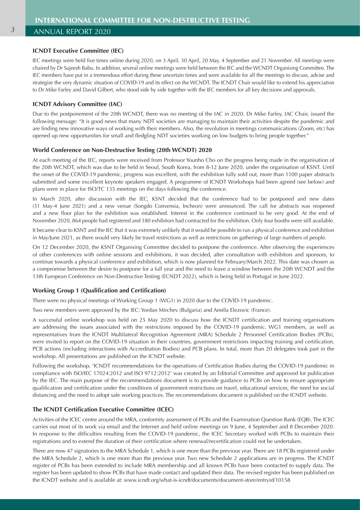#### **ICNDT Executive Committee (IEC)**

IEC meetings were held five times online during 2020, on 3 April, 30 April, 20 May, 4 September and 21 November. All meetings were chaired by Dr Sajeesh Babu. In addition, several online meetings were held between the IEC and the WCNDT Organising Committee. The IEC members have put in a tremendous effort during these uncertain times and were available for all the meetings to discuss, advise and strategise the very dynamic situation of COVID-19 and its effect on the WCNDT. The ICNDT Chair would like to extend his appreciation to Dr Mike Farley and David Gilbert, who stood side by side together with the IEC members for all key decisions and approvals.

#### **ICNDT Advisory Committee (IAC)**

Due to the postponement of the 20th WCNDT, there was no meeting of the IAC in 2020. Dr Mike Farley, IAC Chair, issued the following message: "It is good news that many NDT societies are managing to maintain their activities despite the pandemic and are finding new innovative ways of working with their members. Also, the revolution in meetings communications (Zoom, etc) has opened up new opportunities for small and fledgling NDT societies working on low budgets to bring people together."

#### **World Conference on Non-Destructive Testing (20th WCNDT) 2020**

At each meeting of the IEC, reports were received from Professor Younho Cho on the progress being made in the organisation of the 20th WCNDT, which was due to be held in Seoul, South Korea, from 8-12 June 2020, under the organisation of KSNT. Until the onset of the COVID-19 pandemic, progress was excellent, with the exhibition fully sold out, more than 1100 paper abstracts submitted and some excellent keynote speakers engaged. A programme of ICNDT Workshops had been agreed (see below) and plans were in place for ISO/TC 135 meetings on the days following the conference.

In March 2020, after discussion with the IEC, KSNT decided that the conference had to be postponed and new dates (31 May-4 June 2021) and a new venue (Songdo Convensia, Incheon) were announced. The call for abstracts was reopened and a new floor plan for the exhibition was established. Interest in the conference continued to be very good. At the end of November 2020, 864 people had registered and 180 exhibitors had contracted for the exhibition. Only four booths were still available.

It became clear to KSNT and the IEC that it was extremely unlikely that it would be possible to run a physical conference and exhibition in May/June 2021, as there would very likely be travel restrictions as well as restrictions on gatherings of large numbers of people.

On 12 December 2020, the KSNT Organising Committee decided to postpone the conference. After observing the experiences of other conferences with online sessions and exhibitions, it was decided, after consultation with exhibitors and sponsors, to continue towards a physical conference and exhibition, which is now planned for February/March 2022. This date was chosen as a compromise between the desire to postpone for a full year and the need to leave a window between the 20th WCNDT and the 13th European Conference on Non-Destructive Testing (ECNDT 2022), which is being held in Portugal in June 2022.

#### **Working Group 1 (Qualification and Certification)**

There were no physical meetings of Working Group 1 (WG1) in 2020 due to the COVID-19 pandemic.

Two new members were approved by the IEC: Yordan Mirchev (Bulgaria) and Améla Elezovic (France).

A successful online workshop was held on 25 May 2020 to discuss how the ICNDT certification and training organisations are addressing the issues associated with the restrictions imposed by the COVID-19 pandemic. WG1 members, as well as representatives from the ICNDT Multilateral Recognition Agreement (MRA) Schedule 2 Personnel Certification Bodies (PCBs), were invited to report on the COVID-19 situation in their countries, government restrictions impacting training and certification, PCB actions (including interactions with Accreditation Bodies) and PCB plans. In total, more than 20 delegates took part in the workshop. All presentations are published on the ICNDT website.

Following the workshop, 'ICNDT recommendations for the operations of Certification Bodies during the COVID-19 pandemic in compliance with ISO/IEC 17024:2012 and ISO 9712:2012' was created by an Editorial Committee and approved for publication by the IEC. The main purpose of the recommendations document is to provide guidance to PCBs on how to ensure appropriate qualification and certification under the conditions of government restrictions on travel, educational services, the need for social distancing and the need to adopt safe working practices. The recommendations document is published on the ICNDT website.

#### **The ICNDT Certification Executive Committee (ICEC)**

Activities of the ICEC centre around the MRA, conformity assessment of PCBs and the Examination Question Bank (EQB). The ICEC carries out most of its work via email and the Internet and held online meetings on 9 June, 4 September and 8 December 2020. In response to the difficulties resulting from the COVID-19 pandemic, the ICEC Secretary worked with PCBs to maintain their registrations and to extend the duration of their certification where renewal/recertification could not be undertaken.

There are now 47 signatories to the MRA Schedule 1, which is one more than the previous year. There are 18 PCBs registered under the MRA Schedule 2, which is one more than the previous year. Two new Schedule 2 applications are in progress. The ICNDT register of PCBs has been extended to include MRA membership and all known PCBs have been contacted to supply data. The register has been updated to show PCBs that have made contact and updated their data. The revised register has been published on the ICNDT website and is available at: www.icndt.org/what-is-icndt/documents/document-store/entryid/10158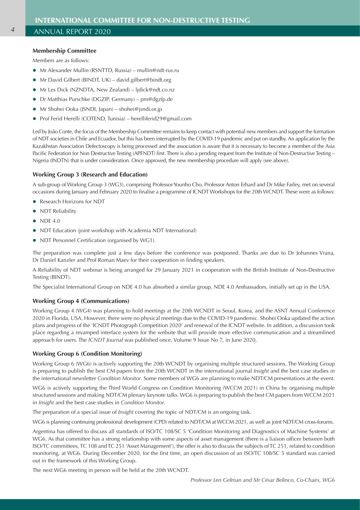#### **Membership Committee**

Members are as follows:

- Mr Alexander Mullin (RSNTTD, Russia) mullin@ndt-rus.ru
- Mr David Gilbert (BINDT, UK) david.gilbert@bindt.org
- **•** Mr Les Dick (NZNDTA, New Zealand) ljdick@ndt.co.nz
- **•** Dr Matthias Purschke (DGZfP, Germany) pm@dgzfp.de
- Mr Shohei Ooka (JSNDI, Japan) shohei@jsndi.or.jp
- Prof Ferid Herelli (COTEND, Tunisia) herelliferid29@gmail.com

Led by João Conte, the focus of the Membership Committee remains to keep contact with potential new members and support the formation of NDT societies in Chile and Ecuador, but this has been interrupted by the COVID-19 pandemic and put on standby. An application by the Kazakhstan Association Defectoscopy is being processed and the association is aware that it is necessary to become a member of the Asia Pacific Federation for Non Destructive Testing (APFNDT) first. There is also a pending request from the Institute of Non-Destructive Testing – Nigeria (INDTN) that is under consideration. Once approved, the new membership procedure will apply (see above).

## **Working Group 3 (Research and Education)**

A sub-group of Working Group 3 (WG3), comprising Professor Younho Cho, Professor Anton Erhard and Dr Mike Farley, met on several occasions during January and February 2020 to finalise a programme of ICNDT Workshops for the 20th WCNDT. These were as follows:

- Research Horizons for NDT
- NDT Reliability
- $\bullet$  NDE 4.0
- NDT Education (joint workshop with Academia NDT International)
- NDT Personnel Certification (organised by WG1).

The preparation was complete just a few days before the conference was postponed. Thanks are due to Dr Johannes Vrana, Dr Daniel Kanzler and Prof Roman Maev for their cooperation in finding speakers.

A Reliability of NDT webinar is being arranged for 29 January 2021 in cooperation with the British Institute of Non-Destructive Testing (BINDT).

The Specialist International Group on NDE 4.0 has absorbed a similar group, NDE 4.0 Ambassadors, initially set up in the USA.

## **Working Group 4 (Communications)**

Working Group 4 (WG4) was planning to hold meetings at the 20th WCNDT in Seoul, Korea, and the ASNT Annual Conference 2020 in Florida, USA. However, there were no physical meetings due to the COVID-19 pandemic. Shohei Ooka updated the action plans and progress of the 'ICNDT Photograph Competition 2020' and renewal of the ICNDT website. In addition, a discussion took place regarding a revamped interface system for the website that will provide more effective communication and a streamlined approach for users. The *ICNDT Journal* was published once, Volume 9 Issue No 7, in June 2020.

#### **Working Group 6 (Condition Monitoring)**

Working Group 6 (WG6) is actively supporting the 20th WCNDT by organising multiple structured sessions. The Working Group is preparing to publish the best CM papers from the 20th WCNDT in the international journal *Insight* and the best case studies in the international newsletter *Condition Monitor*. Some members of WG6 are planning to make NDT/CM presentations at the event.

WG6 is actively supporting the Third World Congress on Condition Monitoring (WCCM 2021) in China by organising multiple structured sessions and making NDT/CM plenary keynote talks. WG6 is preparing to publish the best CM papers from WCCM 2021 in *Insight* and the best case studies in *Condition Monitor*.

The preparation of a special issue of *Insight* covering the topic of NDT/CM is an ongoing task.

WG6 is planning continuing professional development (CPD) related to NDT/CM at WCCM 2021, as well as joint NDT/CM cross-forums.

Argentina has offered to discuss all standards of ISO/TC 108/SC 5 'Condition Monitoring and Diagnostics of Machine Systems' at WG6. As that committee has a strong relationship with some aspects of asset management (there is a liaison officer between both ISO/TC committees, TC 108 and TC 251 'Asset Management'), the offer is also to discuss the subjects of TC 251, related to condition monitoring, at WG6. During December 2020, for the first time, an open discussion of an ISO/TC 108/SC 5 standard was carried out in the framework of this Working Group.

The next WG6 meeting in person will be held at the 20th WCNDT.

*Professor Len Gelman and Mr César Belinco, Co-Chairs, WG6*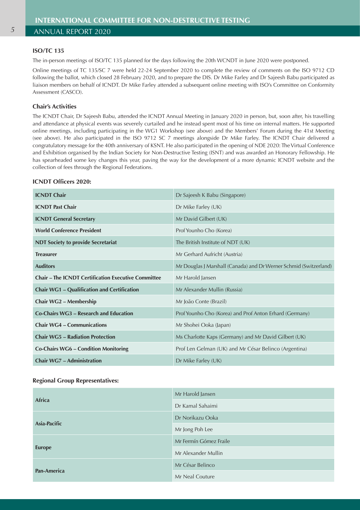## **ISO/TC 135**

The in-person meetings of ISO/TC 135 planned for the days following the 20th WCNDT in June 2020 were postponed.

Online meetings of TC 135/SC 7 were held 22-24 September 2020 to complete the review of comments on the ISO 9712 CD following the ballot, which closed 28 February 2020, and to prepare the DIS. Dr Mike Farley and Dr Sajeesh Babu participated as liaison members on behalf of ICNDT. Dr Mike Farley attended a subsequent online meeting with ISO's Committee on Conformity Assessment (CASCO).

## **Chair's Activities**

The ICNDT Chair, Dr Sajeesh Babu, attended the ICNDT Annual Meeting in January 2020 in person, but, soon after, his travelling and attendance at physical events was severely curtailed and he instead spent most of his time on internal matters. He supported online meetings, including participating in the WG1 Workshop (see above) and the Members' Forum during the 41st Meeting (see above). He also participated in the ISO 9712 SC 7 meetings alongside Dr Mike Farley. The ICNDT Chair delivered a congratulatory message for the 40th anniversary of KSNT. He also participated in the opening of NDE 2020: The Virtual Conference and Exhibition organised by the Indian Society for Non-Destructive Testing (ISNT) and was awarded an Honorary Fellowship. He has spearheaded some key changes this year, paving the way for the development of a more dynamic ICNDT website and the collection of fees through the Regional Federations.

#### **ICNDT Officers 2020:**

| <b>ICNDT Chair</b>                                         | Dr Sajeesh K Babu (Singapore)                                     |
|------------------------------------------------------------|-------------------------------------------------------------------|
| <b>ICNDT</b> Past Chair                                    | Dr Mike Farley (UK)                                               |
| <b>ICNDT General Secretary</b>                             | Mr David Gilbert (UK)                                             |
| <b>World Conference President</b>                          | Prof Younho Cho (Korea)                                           |
| <b>NDT Society to provide Secretariat</b>                  | The British Institute of NDT (UK)                                 |
| <b>Treasurer</b>                                           | Mr Gerhard Aufricht (Austria)                                     |
| <b>Auditors</b>                                            | Mr Douglas J Marshall (Canada) and Dr Werner Schmid (Switzerland) |
| <b>Chair – The ICNDT Certification Executive Committee</b> | Mr Harold Jansen                                                  |
| <b>Chair WG1 - Qualification and Certification</b>         | Mr Alexander Mullin (Russia)                                      |
| Chair WG2 - Membership                                     | Mr João Conte (Brazil)                                            |
| Co-Chairs WG3 - Research and Education                     | Prof Younho Cho (Korea) and Prof Anton Erhard (Germany)           |
| <b>Chair WG4 – Communications</b>                          | Mr Shohei Ooka (Japan)                                            |
| <b>Chair WG5 - Radiation Protection</b>                    | Ms Charlotte Kaps (Germany) and Mr David Gilbert (UK)             |
| Co-Chairs WG6 - Condition Monitoring                       | Prof Len Gelman (UK) and Mr César Belinco (Argentina)             |
| <b>Chair WG7 - Administration</b>                          | Dr Mike Farley $(UK)$                                             |

#### **Regional Group Representatives:**

| Africa             | Mr Harold Jansen       |
|--------------------|------------------------|
|                    | Dr Kamal Sahaimi       |
| Asia-Pacific       | Dr Norikazu Ooka       |
|                    | Mr Jong Poh Lee        |
| <b>Europe</b>      | Mr Fermín Gómez Fraile |
|                    | Mr Alexander Mullin    |
| <b>Pan-America</b> | Mr César Belinco       |
|                    | Mr Neal Couture        |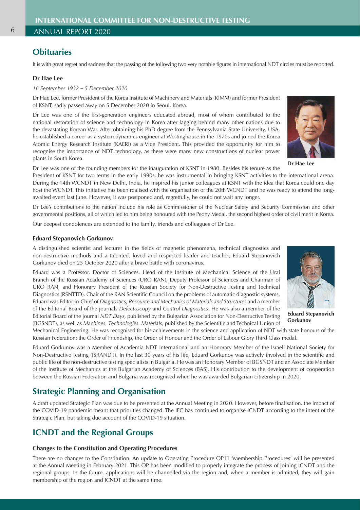## **Obituaries**

It is with great regret and sadness that the passing of the following two very notable figures in international NDT circles must be reported.

#### **Dr Hae Lee**

*16 September 1932 – 5 December 2020*

Dr Hae Lee, former President of the Korea Institute of Machinery and Materials (KIMM) and former President of KSNT, sadly passed away on 5 December 2020 in Seoul, Korea.

Dr Lee was one of the first-generation engineers educated abroad, most of whom contributed to the national restoration of science and technology in Korea after lagging behind many other nations due to the devastating Korean War. After obtaining his PhD degree from the Pennsylvania State University, USA, he established a career as a system dynamics engineer at Westinghouse in the 1970s and joined the Korea Atomic Energy Research Institute (KAERI) as a Vice President. This provided the opportunity for him to recognise the importance of NDT technology, as there were many new constructions of nuclear power plants in South Korea.



**Dr Hae Lee**

Dr Lee was one of the founding members for the inauguration of KSNT in 1980. Besides his tenure as the

President of KSNT for two terms in the early 1990s, he was instrumental in bringing KSNT activities to the international arena. During the 14th WCNDT in New Delhi, India, he inspired his junior colleagues at KSNT with the idea that Korea could one day host the WCNDT. This initiative has been realised with the organisation of the 20th WCNDT and he was ready to attend the longawaited event last June. However, it was postponed and, regretfully, he could not wait any longer.

Dr Lee's contributions to the nation include his role as Commissioner of the Nuclear Safety and Security Commission and other governmental positions, all of which led to him being honoured with the Peony Medal, the second highest order of civil merit in Korea.

Our deepest condolences are extended to the family, friends and colleagues of Dr Lee.

#### **Eduard Stepanovich Gorkunov**

A distinguished scientist and lecturer in the fields of magnetic phenomena, technical diagnostics and non-destructive methods and a talented, loved and respected leader and teacher, Eduard Stepanovich Gorkunov died on 25 October 2020 after a brave battle with coronavirus.

Eduard was a Professor, Doctor of Sciences, Head of the Institute of Mechanical Science of the Ural Branch of the Russian Academy of Sciences (URO RAN), Deputy Professor of Sciences and Chairman of URO RAN, and Honorary President of the Russian Society for Non-Destructive Testing and Technical Diagnostics (RSNTTD). Chair of the RAN Scientific Council on the problems of automatic diagnostic systems, Eduard was Editor-in-Chief of *Diagnostics, Resource and Mechanics of Materials and Structures* and a member of the Editorial Board of the journals *Defectoscopy* and *Control Diagnostics*. He was also a member of the Editorial Board of the journal *NDT Days,* published by the Bulgarian Association for Non-Destructive Testing (BGSNDT), as well as *Machines. Technologies. Materials*, published by the Scientific and Technical Union of



**Eduard Stepanovich Gorkunov**

Mechanical Engineering. He was recognised for his achievements in the science and application of NDT with state honours of the Russian Federation: the Order of Friendship, the Order of Honour and the Order of Labour Glory Third Class medal.

Eduard Gorkunov was a Member of Academia NDT International and an Honorary Member of the Israeli National Society for Non-Destructive Testing (ISRANDT). In the last 30 years of his life, Eduard Gorkunov was actively involved in the scientific and public life of the non-destructive testing specialists in Bulgaria. He was an Honorary Member of BGSNDT and an Associate Member of the Institute of Mechanics at the Bulgarian Academy of Sciences (BAS). His contribution to the development of cooperation between the Russian Federation and Bulgaria was recognised when he was awarded Bulgarian citizenship in 2020.

## **Strategic Planning and Organisation**

A draft updated Strategic Plan was due to be presented at the Annual Meeting in 2020. However, before finalisation, the impact of the COVID-19 pandemic meant that priorities changed. The IEC has continued to organise ICNDT according to the intent of the Strategic Plan, but taking due account of the COVID-19 situation.

## **ICNDT and the Regional Groups**

#### **Changes to the Constitution and Operating Procedures**

There are no changes to the Constitution. An update to Operating Procedure OP11 'Membership Procedures' will be presented at the Annual Meeting in February 2021. This OP has been modified to properly integrate the process of joining ICNDT and the regional groups. In the future, applications will be channelled via the region and, when a member is admitted, they will gain membership of the region and ICNDT at the same time.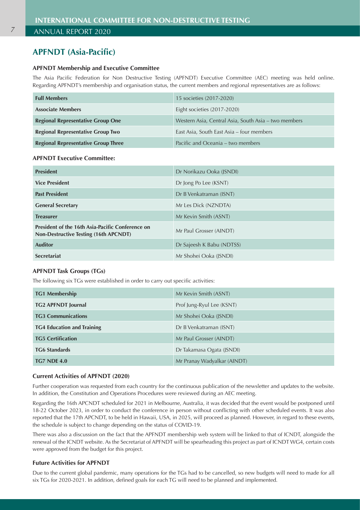## **APFNDT (Asia-Pacific)**

## **APFNDT Membership and Executive Committee**

The Asia Pacific Federation for Non Destructive Testing (APFNDT) Executive Committee (AEC) meeting was held online. Regarding APFNDT's membership and organisation status, the current members and regional representatives are as follows:

| <b>Full Members</b>                        | 15 societies (2017-2020)                             |
|--------------------------------------------|------------------------------------------------------|
| <b>Associate Members</b>                   | Eight societies (2017-2020)                          |
| <b>Regional Representative Group One</b>   | Western Asia, Central Asia, South Asia – two members |
| <b>Regional Representative Group Two</b>   | East Asia, South East Asia – four members            |
| <b>Regional Representative Group Three</b> | Pacific and Oceania – two members                    |

## **APFNDT Executive Committee:**

| <b>President</b>                                                                                        | Dr Norikazu Ooka (JSNDI)  |
|---------------------------------------------------------------------------------------------------------|---------------------------|
| <b>Vice President</b>                                                                                   | Dr Jong Po Lee (KSNT)     |
| <b>Past President</b>                                                                                   | Dr B Venkatraman (ISNT)   |
| <b>General Secretary</b>                                                                                | Mr Les Dick (NZNDTA)      |
| <b>Treasurer</b>                                                                                        | Mr Kevin Smith (ASNT)     |
| <b>President of the 16th Asia-Pacific Conference on</b><br><b>Non-Destructive Testing (16th APCNDT)</b> | Mr Paul Grosser (AINDT)   |
| <b>Auditor</b>                                                                                          | Dr Sajeesh K Babu (NDTSS) |
| <b>Secretariat</b>                                                                                      | Mr Shohei Ooka (JSNDI)    |

#### **APFNDT Task Groups (TGs)**

The following six TGs were established in order to carry out specific activities:

| <b>TG1 Membership</b>             | Mr Kevin Smith (ASNT)       |
|-----------------------------------|-----------------------------|
| <b>TG2 APFNDT Journal</b>         | Prof Jung-Ryul Lee (KSNT)   |
| <b>TG3 Communications</b>         | Mr Shohei Ooka (JSNDI)      |
| <b>TG4 Education and Training</b> | Dr B Venkatraman (ISNT)     |
| <b>TG5 Certification</b>          | Mr Paul Grosser (AINDT)     |
| <b>TG6 Standards</b>              | Dr Takamasa Ogata (JSNDI)   |
| <b>TG7 NDE 4.0</b>                | Mr Pranay Wadyalkar (AINDT) |

## **Current Activities of APFNDT (2020)**

Further cooperation was requested from each country for the continuous publication of the newsletter and updates to the website. In addition, the Constitution and Operations Procedures were reviewed during an AEC meeting.

Regarding the 16th APCNDT scheduled for 2021 in Melbourne, Australia, it was decided that the event would be postponed until 18-22 October 2023, in order to conduct the conference in person without conflicting with other scheduled events. It was also reported that the 17th APCNDT, to be held in Hawaii, USA, in 2025, will proceed as planned. However, in regard to these events, the schedule is subject to change depending on the status of COVID-19.

There was also a discussion on the fact that the APFNDT membership web system will be linked to that of ICNDT, alongside the renewal of the ICNDT website. As the Secretariat of APFNDT will be spearheading this project as part of ICNDT WG4, certain costs were approved from the budget for this project.

## **Future Activities for APFNDT**

Due to the current global pandemic, many operations for the TGs had to be cancelled, so new budgets will need to made for all six TGs for 2020-2021. In addition, defined goals for each TG will need to be planned and implemented.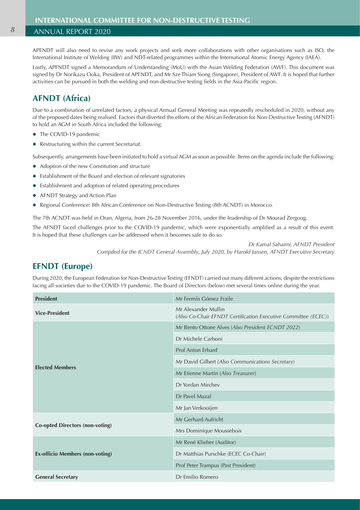APFNDT will also need to revise any work projects and seek more collaborations with other organisations such as ISO, the International Institute of Welding (IIW) and NDT-related programmes within the International Atomic Energy Agency (IAEA).

Lastly, APFNDT signed a Memorandum of Understanding (MoU) with the Asian Welding Federation (AWF). This document was signed by Dr Norikazu Ooka, President of APFNDT, and Mr Sze Thiam Siong (Singapore), President of AWF. It is hoped that further activities can be pursued in both the welding and non-destructive testing fields in the Asia-Pacific region.

## **AFNDT (Africa)**

Due to a combination of unrelated factors, a physical Annual General Meeting was repeatedly rescheduled in 2020, without any of the proposed dates being realised. Factors that diverted the efforts of the African Federation for Non-Destructive Testing (AFNDT) to hold an AGM in South Africa included the following:

- The COVID-19 pandemic
- Restructuring within the current Secretariat.

Subsequently, arrangements have been initiated to hold a virtual AGM as soon as possible. Items on the agenda include the following:

- Adoption of the new Constitution and structure
- Establishment of the Board and election of relevant signatories
- Establishment and adoption of related operating procedures
- AFNDT Strategy and Action Plan
- Regional Conference: 8th African Conference on Non-Destructive Testing (8th ACNDT) in Morocco.

The 7th ACNDT was held in Oran, Algeria, from 26-28 November 2016, under the leadership of Dr Mourad Zergoug.

The AFNDT faced challenges prior to the COVID-19 pandemic, which were exponentially amplified as a result of this event. It is hoped that these challenges can be addressed when it becomes safe to do so.

> *Dr Kamal Sahaimi, AFNDT President Compiled for the ICNDT General Assembly, July 2020, by Harold Jansen, AFNDT Executive Secretary*

## **EFNDT (Europe)**

During 2020, the European Federation for Non-Destructive Testing (EFNDT) carried out many different actions, despite the restrictions facing all societies due to the COVID-19 pandemic. The Board of Directors (below) met several times online during the year.

| <b>President</b>                       | Mr Fermín Gómez Fraile                                                                |  |
|----------------------------------------|---------------------------------------------------------------------------------------|--|
| <b>Vice-President</b>                  | Mr Alexander Mullin<br>(Also Co-Chair EFNDT Certification Executive Committee (ECEC)) |  |
| <b>Elected Members</b>                 | Mr Bento Ottone Alves (Also President ECNDT 2022)                                     |  |
|                                        | Dr Michele Carboni                                                                    |  |
|                                        | Prof Anton Erhard                                                                     |  |
|                                        | Mr David Gilbert (Also Communications Secretary)                                      |  |
|                                        | Mr Etienne Martin (Also Treasurer)                                                    |  |
|                                        | Dr Yordan Mirchev                                                                     |  |
|                                        | Dr Pavel Mazal                                                                        |  |
|                                        | Mr Jan Verkooijen                                                                     |  |
| <b>Co-opted Directors (non-voting)</b> | Mr Gerhard Aufricht                                                                   |  |
|                                        | Mrs Dominique Moussebois                                                              |  |
| <b>Ex-officio Members (non-voting)</b> | Mr René Klieber (Auditor)                                                             |  |
|                                        | Dr Matthias Purschke (ECEC Co-Chair)                                                  |  |
|                                        | Prof Peter Trampus (Past President)                                                   |  |
| <b>General Secretary</b>               | Dr Emilio Romero                                                                      |  |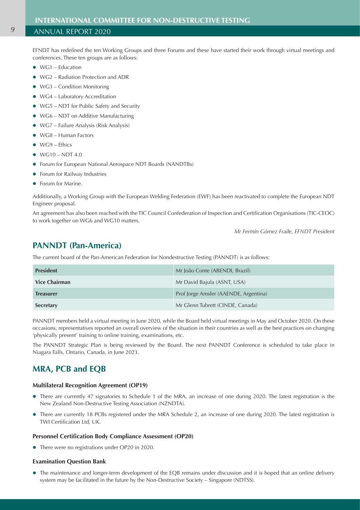EFNDT has redefined the ten Working Groups and three Forums and these have started their work through virtual meetings and conferences. These ten groups are as follows:

- $\bullet$  WG1 Education
- WG2 Radiation Protection and ADR
- $\bullet$  WG3 Condition Monitoring
- WG4 Laboratory Accreditation
- WG5 NDT for Public Safety and Security
- WG6 NDT on Additive Manufacturing
- $\bullet$  WG7 Failure Analysis (Risk Analysis)
- $\bullet$  WG8 Human Factors
- $\bullet$  WG9 Ethics
- $\bullet$  WG10 NDT 4.0
- **•** Forum for European National Aerospace NDT Boards (NANDTBs)
- **•** Forum for Railway Industries
- Forum for Marine.

Additionally, a Working Group with the European Welding Federation (EWF) has been reactivated to complete the European NDT Engineer proposal.

An agreement has also been reached with the TIC Council Confederation of Inspection and Certification Organisations (TIC-CEOC) to work together on WG6 and WG10 matters.

*Mr Fermín Gómez Fraile, EFNDT President*

## **PANNDT (Pan-America)**

The current board of the Pan-American Federation for Nondestructive Testing (PANNDT) is as follows:

| <b>President</b>     | Mr João Conte (ABENDI, Brazil)        |
|----------------------|---------------------------------------|
| <b>Vice Chairman</b> | Mr David Bajula (ASNT, USA)           |
| <b>Treasurer</b>     | Prof Jorge Amsler (AAENDE, Argentina) |
| Secretary            | Mr Glenn Tubrett (CINDE, Canada)      |

PANNDT members held a virtual meeting in June 2020, while the Board held virtual meetings in May and October 2020. On these occasions, representatives reported an overall overview of the situation in their countries as well as the best practices on changing 'physically present' training to online training, examinations, etc.

The PANNDT Strategic Plan is being reviewed by the Board. The next PANNDT Conference is scheduled to take place in Niagara Falls, Ontario, Canada, in June 2023.

## **MRA, PCB and EQB**

#### **Multilateral Recognition Agreement (OP19)**

- There are currently 47 signatories to Schedule 1 of the MRA, an increase of one during 2020. The latest registration is the New Zealand Non-Destructive Testing Association (NZNDTA).
- There are currently 18 PCBs registered under the MRA Schedule 2, an increase of one during 2020. The latest registration is TWI Certification Ltd, UK.

#### **Personnel Certification Body Compliance Assessment (OP20)**

• There were no registrations under OP20 in 2020.

#### **Examination Question Bank**

• The maintenance and longer-term development of the EQB remains under discussion and it is hoped that an online delivery system may be facilitated in the future by the Non-Destructive Society – Singapore (NDTSS).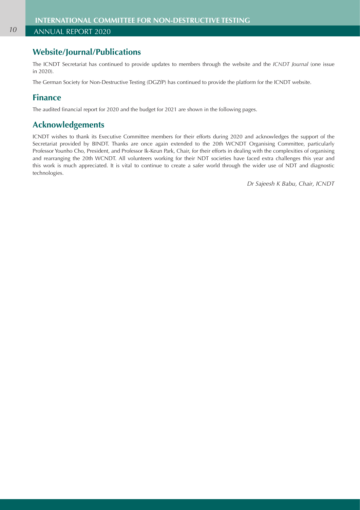## **Website/Journal/Publications**

The ICNDT Secretariat has continued to provide updates to members through the website and the *ICNDT Journal* (one issue in 2020).

The German Society for Non-Destructive Testing (DGZfP) has continued to provide the platform for the ICNDT website.

## **Finance**

The audited financial report for 2020 and the budget for 2021 are shown in the following pages.

## **Acknowledgements**

ICNDT wishes to thank its Executive Committee members for their efforts during 2020 and acknowledges the support of the Secretariat provided by BINDT. Thanks are once again extended to the 20th WCNDT Organising Committee, particularly Professor Younho Cho, President, and Professor Ik-Keun Park, Chair, for their efforts in dealing with the complexities of organising and rearranging the 20th WCNDT. All volunteers working for their NDT societies have faced extra challenges this year and this work is much appreciated. It is vital to continue to create a safer world through the wider use of NDT and diagnostic technologies.

*Dr Sajeesh K Babu, Chair, ICNDT*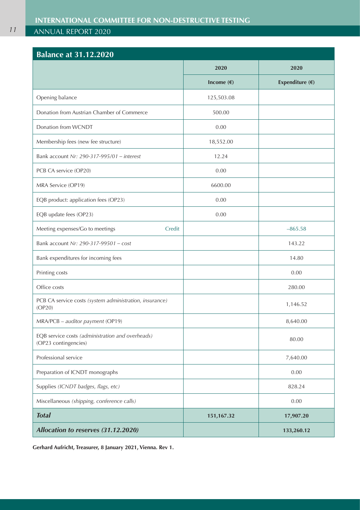| <b>Balance at 31.12.2020</b>                                             |              |                          |
|--------------------------------------------------------------------------|--------------|--------------------------|
|                                                                          | 2020         | 2020                     |
|                                                                          | Income $(E)$ | Expenditure $(\epsilon)$ |
| Opening balance                                                          | 125,503.08   |                          |
| Donation from Austrian Chamber of Commerce                               | 500.00       |                          |
| Donation from WCNDT                                                      | 0.00         |                          |
| Membership fees (new fee structure)                                      | 18,552.00    |                          |
| Bank account Nr: 290-317-995/01 - interest                               | 12.24        |                          |
| PCB CA service (OP20)                                                    | 0.00         |                          |
| MRA Service (OP19)                                                       | 6600.00      |                          |
| EQB product: application fees (OP23)                                     | 0.00         |                          |
| EQB update fees (OP23)                                                   | 0.00         |                          |
| Meeting expenses/Go to meetings<br>Credit                                |              | $-865.58$                |
| Bank account Nr: 290-317-99501 - cost                                    |              | 143.22                   |
| Bank expenditures for incoming fees                                      |              | 14.80                    |
| Printing costs                                                           |              | 0.00                     |
| Office costs                                                             |              | 280.00                   |
| PCB CA service costs (system administration, insurance)<br>(OP20)        |              | 1,146.52                 |
| MRA/PCB - auditor payment (OP19)                                         |              | 8,640.00                 |
| EQB service costs (administration and overheads)<br>(OP23 contingencies) |              | 80.00                    |
| Professional service                                                     |              | 7,640.00                 |
| Preparation of ICNDT monographs                                          |              | 0.00                     |
| Supplies (ICNDT badges, flags, etc)                                      |              | 828.24                   |
| Miscellaneous (shipping, conference calls)                               |              | 0.00                     |
| <b>Total</b>                                                             | 151,167.32   | 17,907.20                |
| Allocation to reserves (31.12.2020)                                      |              | 133,260.12               |

**Gerhard Aufricht, Treasurer, 8 January 2021, Vienna. Rev 1.**